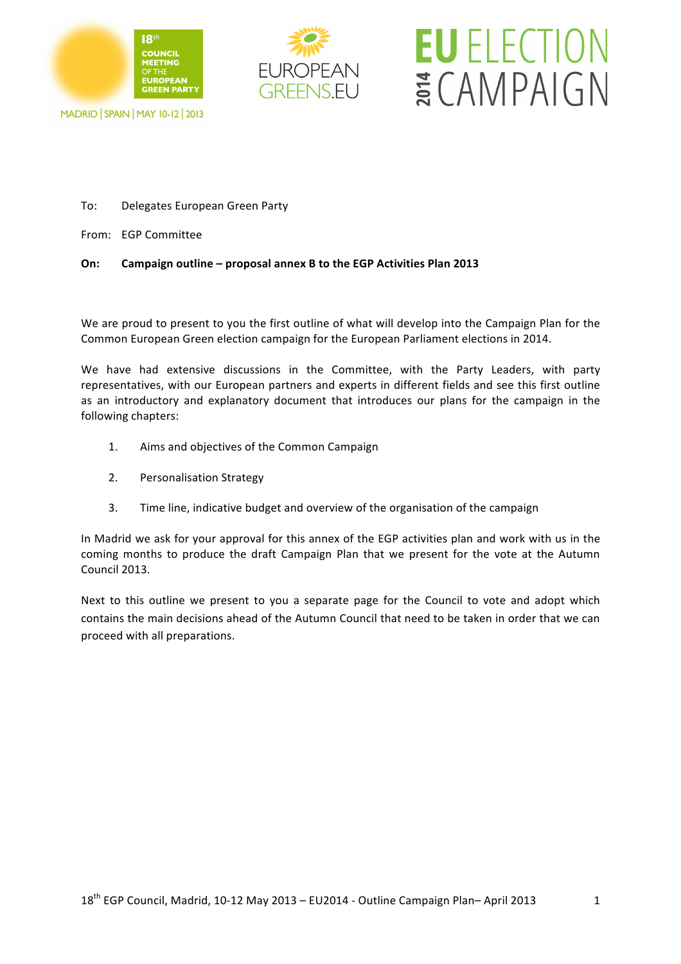



# **EU** ELECTION ECAMPAIGN

MADRID | SPAIN | MAY 10-12 | 2013

#### To: Delegates European Green Party

From: EGP Committee

#### **On:** Campaign outline – proposal annex B to the EGP Activities Plan 2013

We are proud to present to you the first outline of what will develop into the Campaign Plan for the Common European Green election campaign for the European Parliament elections in 2014.

We have had extensive discussions in the Committee, with the Party Leaders, with party representatives, with our European partners and experts in different fields and see this first outline as an introductory and explanatory document that introduces our plans for the campaign in the following chapters:

- 1. Aims and objectives of the Common Campaign
- 2. Personalisation Strategy
- 3. Time line, indicative budget and overview of the organisation of the campaign

In Madrid we ask for your approval for this annex of the EGP activities plan and work with us in the coming months to produce the draft Campaign Plan that we present for the vote at the Autumn Council 2013.

Next to this outline we present to you a separate page for the Council to vote and adopt which contains the main decisions ahead of the Autumn Council that need to be taken in order that we can proceed with all preparations.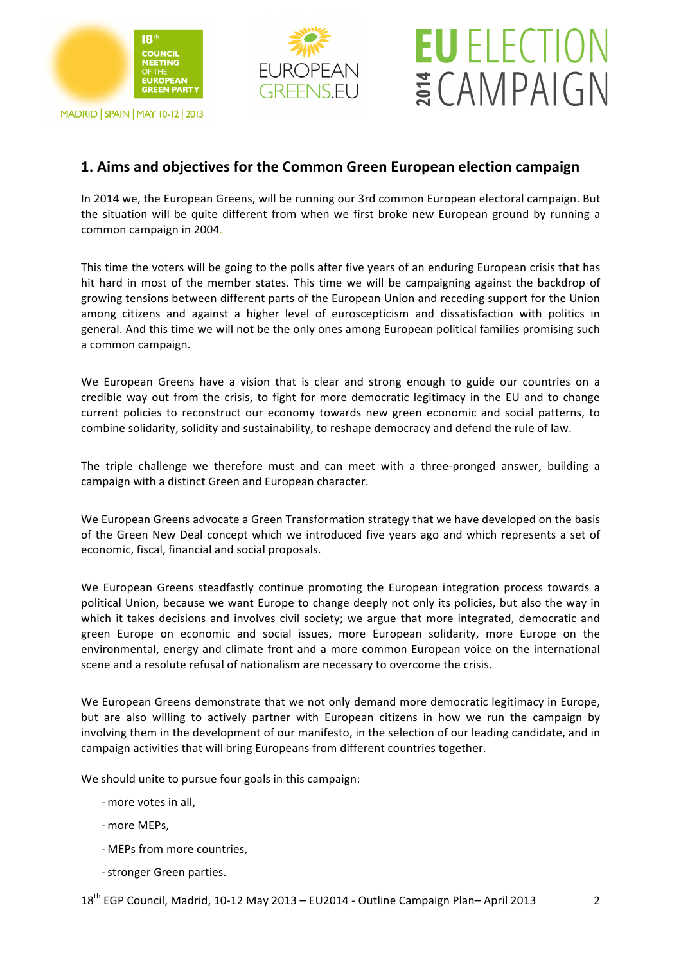

### **EUROPEAN GREENS.EU**

## **EU ELECTION** ECAMPAIGN

### **1. Aims and objectives for the Common Green European election campaign**

In 2014 we, the European Greens, will be running our 3rd common European electoral campaign. But the situation will be quite different from when we first broke new European ground by running a common campaign in 2004.

This time the voters will be going to the polls after five years of an enduring European crisis that has hit hard in most of the member states. This time we will be campaigning against the backdrop of growing tensions between different parts of the European Union and receding support for the Union among citizens and against a higher level of euroscepticism and dissatisfaction with politics in general. And this time we will not be the only ones among European political families promising such a common campaign.

We European Greens have a vision that is clear and strong enough to guide our countries on a credible way out from the crisis, to fight for more democratic legitimacy in the EU and to change current policies to reconstruct our economy towards new green economic and social patterns, to combine solidarity, solidity and sustainability, to reshape democracy and defend the rule of law.

The triple challenge we therefore must and can meet with a three-pronged answer, building a campaign with a distinct Green and European character.

We European Greens advocate a Green Transformation strategy that we have developed on the basis of the Green New Deal concept which we introduced five years ago and which represents a set of economic, fiscal, financial and social proposals.

We European Greens steadfastly continue promoting the European integration process towards a political Union, because we want Europe to change deeply not only its policies, but also the way in which it takes decisions and involves civil society; we argue that more integrated, democratic and green Europe on economic and social issues, more European solidarity, more Europe on the environmental, energy and climate front and a more common European voice on the international scene and a resolute refusal of nationalism are necessary to overcome the crisis.

We European Greens demonstrate that we not only demand more democratic legitimacy in Europe, but are also willing to actively partner with European citizens in how we run the campaign by involving them in the development of our manifesto, in the selection of our leading candidate, and in campaign activities that will bring Europeans from different countries together.

We should unite to pursue four goals in this campaign:

- more votes in all,
- more MEPs.
- MEPs from more countries,
- stronger Green parties.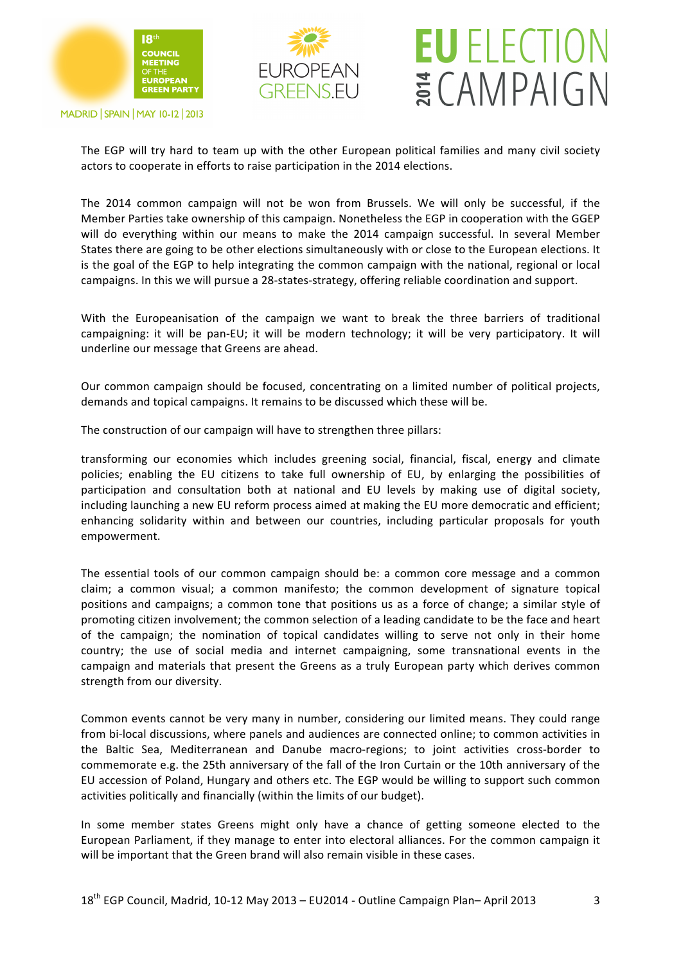





The EGP will try hard to team up with the other European political families and many civil society actors to cooperate in efforts to raise participation in the 2014 elections.

The 2014 common campaign will not be won from Brussels. We will only be successful, if the Member Parties take ownership of this campaign. Nonetheless the EGP in cooperation with the GGEP will do everything within our means to make the 2014 campaign successful. In several Member States there are going to be other elections simultaneously with or close to the European elections. It is the goal of the EGP to help integrating the common campaign with the national, regional or local campaigns. In this we will pursue a 28-states-strategy, offering reliable coordination and support.

With the Europeanisation of the campaign we want to break the three barriers of traditional campaigning: it will be pan-EU; it will be modern technology; it will be very participatory. It will underline our message that Greens are ahead.

Our common campaign should be focused, concentrating on a limited number of political projects, demands and topical campaigns. It remains to be discussed which these will be.

The construction of our campaign will have to strengthen three pillars:

transforming our economies which includes greening social, financial, fiscal, energy and climate policies; enabling the EU citizens to take full ownership of EU, by enlarging the possibilities of participation and consultation both at national and EU levels by making use of digital society, including launching a new EU reform process aimed at making the EU more democratic and efficient; enhancing solidarity within and between our countries, including particular proposals for youth empowerment.

The essential tools of our common campaign should be: a common core message and a common claim; a common visual; a common manifesto; the common development of signature topical positions and campaigns; a common tone that positions us as a force of change; a similar style of promoting citizen involvement; the common selection of a leading candidate to be the face and heart of the campaign; the nomination of topical candidates willing to serve not only in their home country; the use of social media and internet campaigning, some transnational events in the campaign and materials that present the Greens as a truly European party which derives common strength from our diversity.

Common events cannot be very many in number, considering our limited means. They could range from bi-local discussions, where panels and audiences are connected online; to common activities in the Baltic Sea, Mediterranean and Danube macro-regions; to joint activities cross-border to commemorate e.g. the 25th anniversary of the fall of the Iron Curtain or the 10th anniversary of the EU accession of Poland, Hungary and others etc. The EGP would be willing to support such common activities politically and financially (within the limits of our budget).

In some member states Greens might only have a chance of getting someone elected to the European Parliament, if they manage to enter into electoral alliances. For the common campaign it will be important that the Green brand will also remain visible in these cases.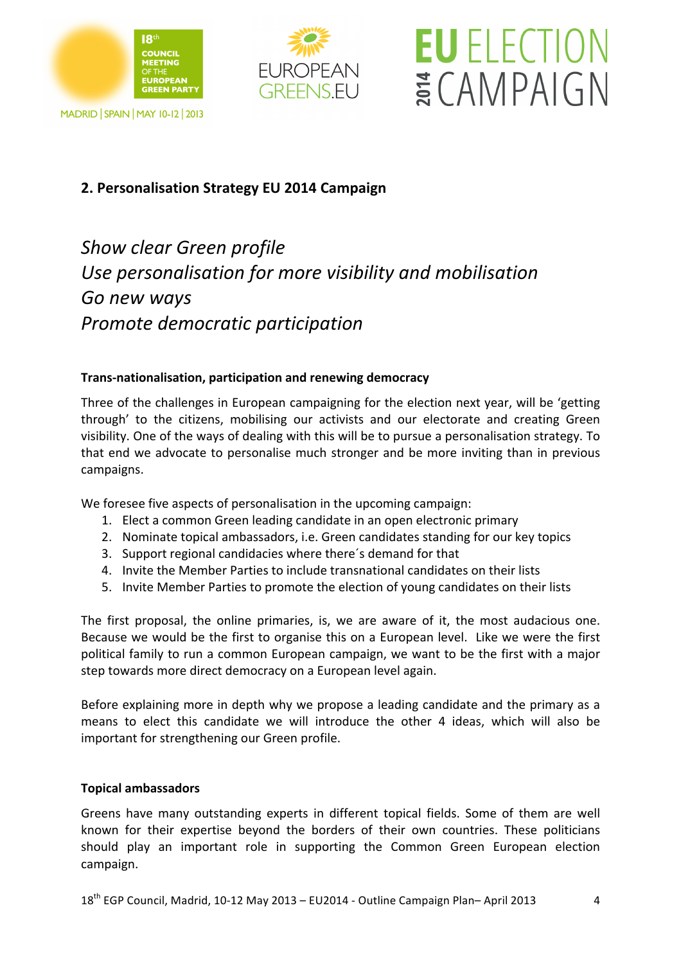







### **2. Personalisation Strategy EU 2014 Campaign**

*Show!clear!Green!profile! Use personalisation for more visibility and mobilisation Go!new!ways Promote!democratic!participation!*

#### **Trans-nationalisation, participation and renewing democracy**

Three of the challenges in European campaigning for the election next year, will be 'getting through' to the citizens, mobilising our activists and our electorate and creating Green visibility. One of the ways of dealing with this will be to pursue a personalisation strategy. To that end we advocate to personalise much stronger and be more inviting than in previous campaigns.

We foresee five aspects of personalisation in the upcoming campaign:

- 1. Elect a common Green leading candidate in an open electronic primary
- 2. Nominate topical ambassadors, i.e. Green candidates standing for our key topics
- 3. Support regional candidacies where there's demand for that
- 4. Invite the Member Parties to include transnational candidates on their lists
- 5. Invite Member Parties to promote the election of young candidates on their lists

The first proposal, the online primaries, is, we are aware of it, the most audacious one. Because we would be the first to organise this on a European level. Like we were the first political family to run a common European campaign, we want to be the first with a major step towards more direct democracy on a European level again.

Before explaining more in depth why we propose a leading candidate and the primary as a means to elect this candidate we will introduce the other 4 ideas, which will also be important for strengthening our Green profile.

#### **Topical\$ambassadors**

Greens have many outstanding experts in different topical fields. Some of them are well known for their expertise beyond the borders of their own countries. These politicians should play an important role in supporting the Common Green European election campaign.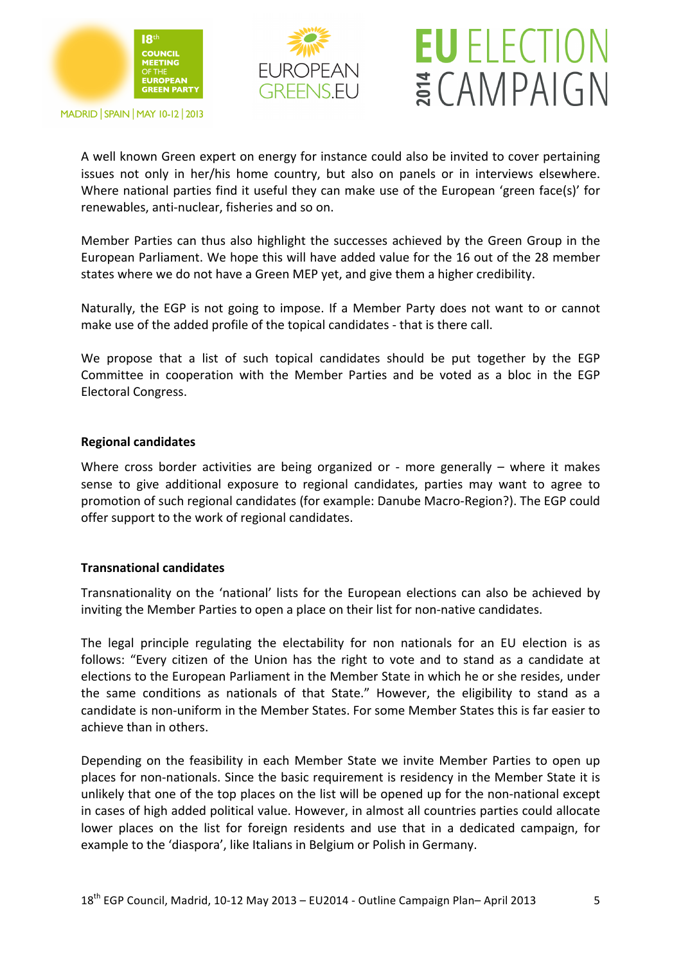





A well known Green expert on energy for instance could also be invited to cover pertaining issues not only in her/his home country, but also on panels or in interviews elsewhere. Where national parties find it useful they can make use of the European 'green face(s)' for renewables, anti-nuclear, fisheries and so on.

Member Parties can thus also highlight the successes achieved by the Green Group in the European Parliament. We hope this will have added value for the 16 out of the 28 member states where we do not have a Green MEP yet, and give them a higher credibility.

Naturally, the EGP is not going to impose. If a Member Party does not want to or cannot make use of the added profile of the topical candidates - that is there call.

We propose that a list of such topical candidates should be put together by the EGP Committee in cooperation with the Member Parties and be voted as a bloc in the EGP Electoral Congress.

#### **Regional\$candidates**

Where cross border activities are being organized or - more generally – where it makes sense to give additional exposure to regional candidates, parties may want to agree to promotion of such regional candidates (for example: Danube Macro-Region?). The EGP could offer support to the work of regional candidates.

#### **Transnational candidates**

Transnationality on the 'national' lists for the European elections can also be achieved by inviting the Member Parties to open a place on their list for non-native candidates.

The legal principle regulating the electability for non nationals for an EU election is as follows: "Every citizen of the Union has the right to vote and to stand as a candidate at elections to the European Parliament in the Member State in which he or she resides, under the same conditions as nationals of that State." However, the eligibility to stand as a candidate is non-uniform in the Member States. For some Member States this is far easier to achieve than in others.

Depending on the feasibility in each Member State we invite Member Parties to open up places for non-nationals. Since the basic requirement is residency in the Member State it is unlikely that one of the top places on the list will be opened up for the non-national except in cases of high added political value. However, in almost all countries parties could allocate lower places on the list for foreign residents and use that in a dedicated campaign, for example to the 'diaspora', like Italians in Belgium or Polish in Germany.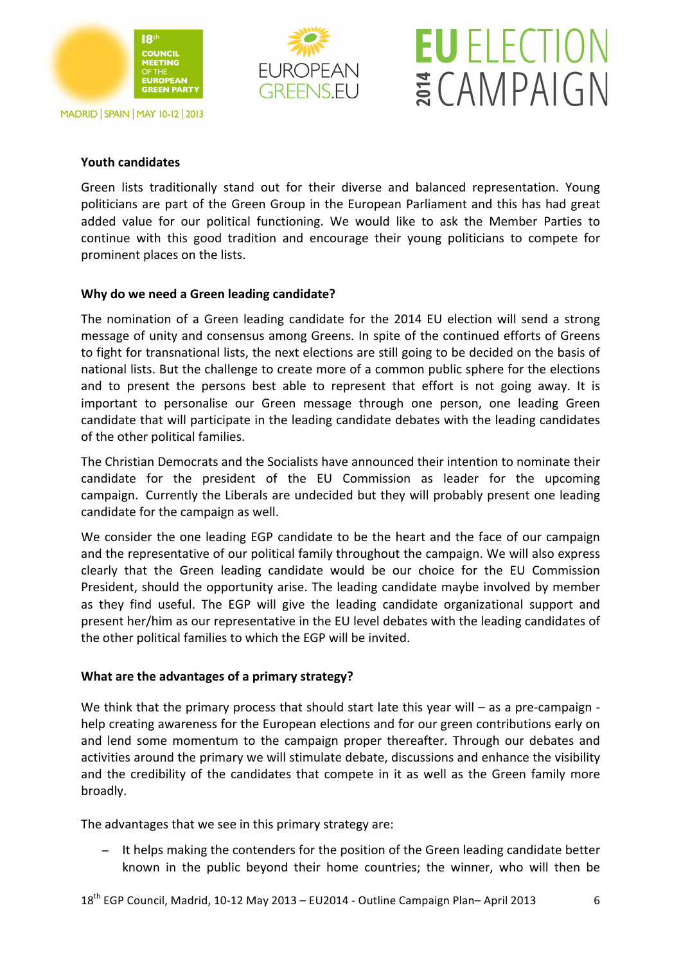



## **EU** ELECTION ECAMPAIGN

#### **Youth candidates**

Green lists traditionally stand out for their diverse and balanced representation. Young politicians are part of the Green Group in the European Parliament and this has had great added value for our political functioning. We would like to ask the Member Parties to continue with this good tradition and encourage their young politicians to compete for prominent places on the lists.

#### **Why do we need a Green leading candidate?**

The nomination of a Green leading candidate for the 2014 EU election will send a strong message of unity and consensus among Greens. In spite of the continued efforts of Greens to fight for transnational lists, the next elections are still going to be decided on the basis of national lists. But the challenge to create more of a common public sphere for the elections and to present the persons best able to represent that effort is not going away. It is important to personalise our Green message through one person, one leading Green candidate that will participate in the leading candidate debates with the leading candidates of the other political families.

The Christian Democrats and the Socialists have announced their intention to nominate their candidate for the president of the EU Commission as leader for the upcoming campaign. Currently the Liberals are undecided but they will probably present one leading candidate for the campaign as well.

We consider the one leading EGP candidate to be the heart and the face of our campaign and the representative of our political family throughout the campaign. We will also express clearly that the Green leading candidate would be our choice for the EU Commission President, should the opportunity arise. The leading candidate maybe involved by member as they find useful. The EGP will give the leading candidate organizational support and present her/him as our representative in the EU level debates with the leading candidates of the other political families to which the EGP will be invited.

#### **What are the advantages of a primary strategy?**

We think that the primary process that should start late this year will – as a pre-campaign help creating awareness for the European elections and for our green contributions early on and lend some momentum to the campaign proper thereafter. Through our debates and activities around the primary we will stimulate debate, discussions and enhance the visibility and the credibility of the candidates that compete in it as well as the Green family more broadly.

The advantages that we see in this primary strategy are:

− It helps making the contenders for the position of the Green leading candidate better known in the public beyond their home countries; the winner, who will then be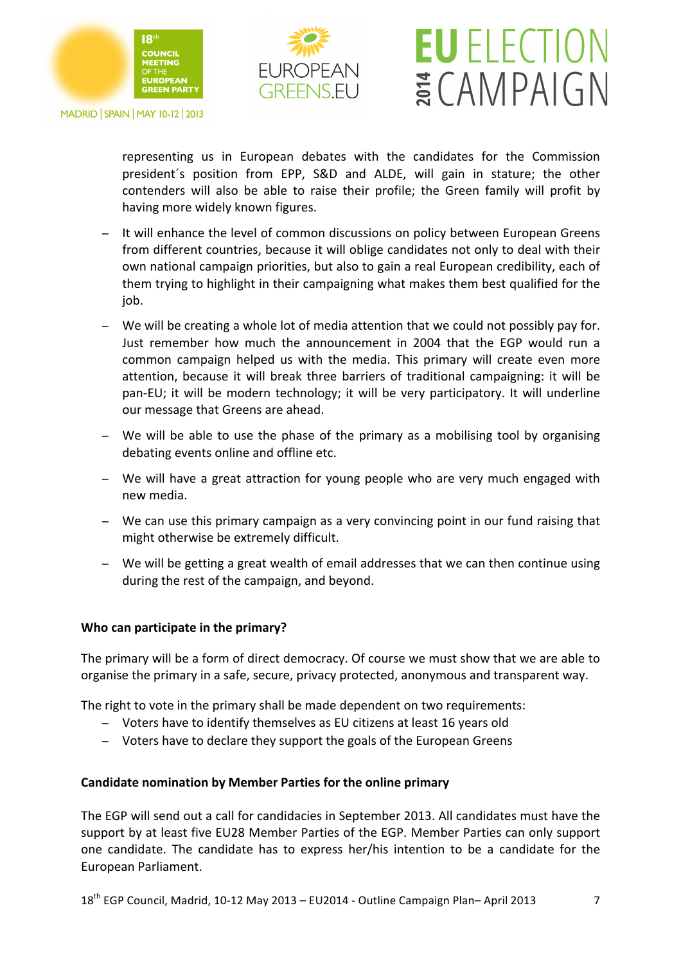



## **EU** ELECTION ECAMPAIGN

representing us in European debates with the candidates for the Commission president's position from EPP, S&D and ALDE, will gain in stature; the other contenders will also be able to raise their profile; the Green family will profit by having more widely known figures.

- − It will enhance the level of common discussions on policy between European Greens from different countries, because it will oblige candidates not only to deal with their own national campaign priorities, but also to gain a real European credibility, each of them trying to highlight in their campaigning what makes them best qualified for the job.
- − We will be creating a whole lot of media attention that we could not possibly pay for. Just remember how much the announcement in 2004 that the EGP would run a common campaign helped us with the media. This primary will create even more attention, because it will break three barriers of traditional campaigning: it will be pan-EU; it will be modern technology; it will be very participatory. It will underline our message that Greens are ahead.
- − We will be able to use the phase of the primary as a mobilising tool by organising debating events online and offline etc.
- − We will have a great attraction for young people who are very much engaged with new!media.
- − We can use this primary campaign as a very convincing point in our fund raising that might otherwise be extremely difficult.
- − We will be getting a great wealth of email addresses that we can then continue using during the rest of the campaign, and beyond.

#### **Who can participate in the primary?**

The primary will be a form of direct democracy. Of course we must show that we are able to organise the primary in a safe, secure, privacy protected, anonymous and transparent way.

The right to vote in the primary shall be made dependent on two requirements:

- − Voters have to identify themselves as EU citizens at least 16 years old
- − Voters have to declare they support the goals of the European Greens

#### **Candidate nomination by Member Parties for the online primary**

The EGP will send out a call for candidacies in September 2013. All candidates must have the support by at least five EU28 Member Parties of the EGP. Member Parties can only support one candidate. The candidate has to express her/his intention to be a candidate for the European Parliament.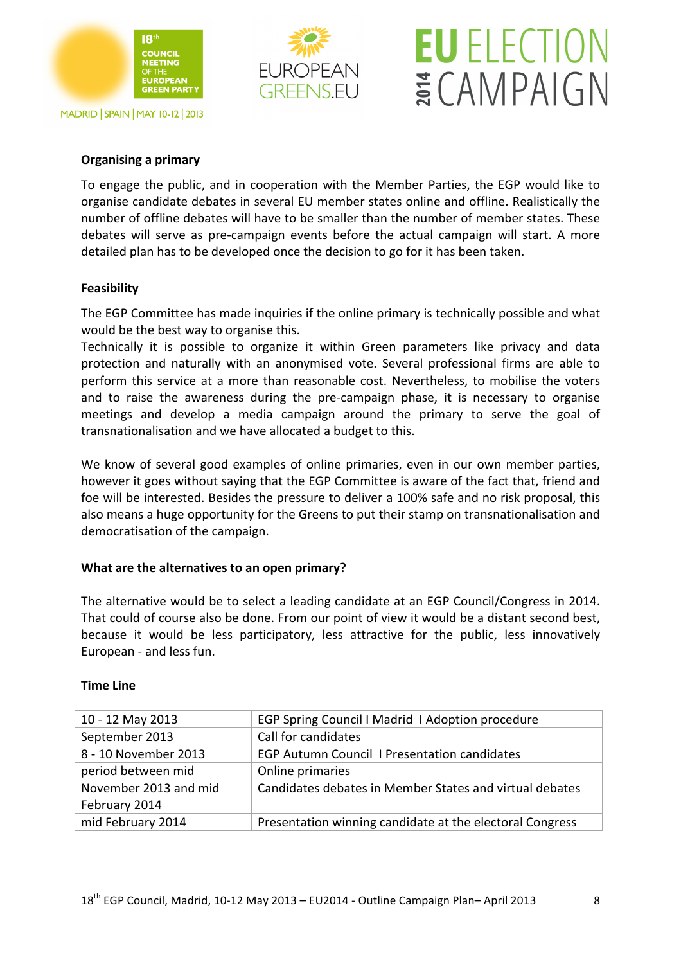



## **EU ELECTION** ECAMPAIGN

#### **Organising a primary**

To engage the public, and in cooperation with the Member Parties, the EGP would like to organise candidate debates in several EU member states online and offline. Realistically the number of offline debates will have to be smaller than the number of member states. These debates will serve as pre-campaign events before the actual campaign will start. A more detailed plan has to be developed once the decision to go for it has been taken.

#### **Feasibility**

The EGP Committee has made inquiries if the online primary is technically possible and what would be the best way to organise this.

Technically it is possible to organize it within Green parameters like privacy and data protection and naturally with an anonymised vote. Several professional firms are able to perform this service at a more than reasonable cost. Nevertheless, to mobilise the voters and to raise the awareness during the pre-campaign phase, it is necessary to organise meetings and develop a media campaign around the primary to serve the goal of transnationalisation and we have allocated a budget to this.

We know of several good examples of online primaries, even in our own member parties, however it goes without saying that the EGP Committee is aware of the fact that, friend and foe will be interested. Besides the pressure to deliver a 100% safe and no risk proposal, this also means a huge opportunity for the Greens to put their stamp on transnationalisation and democratisation of the campaign.

#### **What are the alternatives to an open primary?**

The alternative would be to select a leading candidate at an EGP Council/Congress in 2014. That could of course also be done. From our point of view it would be a distant second best, because it would be less participatory, less attractive for the public, less innovatively European - and less fun.

#### **Time\$Line**

| EGP Spring Council I Madrid I Adoption procedure         |
|----------------------------------------------------------|
| Call for candidates                                      |
| <b>EGP Autumn Council I Presentation candidates</b>      |
| Online primaries                                         |
| Candidates debates in Member States and virtual debates  |
|                                                          |
| Presentation winning candidate at the electoral Congress |
|                                                          |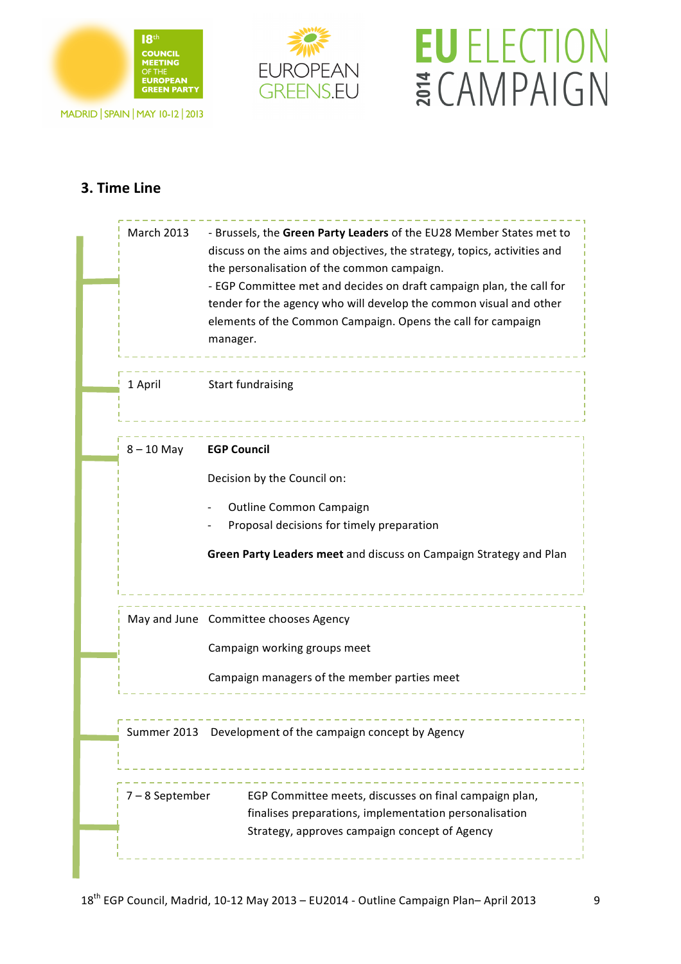





### **3. Time Line**

| <b>March 2013</b> | - Brussels, the Green Party Leaders of the EU28 Member States met to<br>discuss on the aims and objectives, the strategy, topics, activities and<br>the personalisation of the common campaign.<br>- EGP Committee met and decides on draft campaign plan, the call for<br>tender for the agency who will develop the common visual and other<br>elements of the Common Campaign. Opens the call for campaign<br>manager. |  |  |  |
|-------------------|---------------------------------------------------------------------------------------------------------------------------------------------------------------------------------------------------------------------------------------------------------------------------------------------------------------------------------------------------------------------------------------------------------------------------|--|--|--|
| 1 April           | <b>Start fundraising</b>                                                                                                                                                                                                                                                                                                                                                                                                  |  |  |  |
| $8 - 10$ May      | <b>EGP Council</b>                                                                                                                                                                                                                                                                                                                                                                                                        |  |  |  |
|                   | Decision by the Council on:                                                                                                                                                                                                                                                                                                                                                                                               |  |  |  |
|                   | Outline Common Campaign                                                                                                                                                                                                                                                                                                                                                                                                   |  |  |  |
|                   | Proposal decisions for timely preparation<br>Green Party Leaders meet and discuss on Campaign Strategy and Plan                                                                                                                                                                                                                                                                                                           |  |  |  |
|                   | May and June Committee chooses Agency                                                                                                                                                                                                                                                                                                                                                                                     |  |  |  |
|                   | Campaign working groups meet                                                                                                                                                                                                                                                                                                                                                                                              |  |  |  |
|                   | Campaign managers of the member parties meet                                                                                                                                                                                                                                                                                                                                                                              |  |  |  |
|                   | Summer 2013 Development of the campaign concept by Agency                                                                                                                                                                                                                                                                                                                                                                 |  |  |  |
| 7-8 September     | EGP Committee meets, discusses on final campaign plan,                                                                                                                                                                                                                                                                                                                                                                    |  |  |  |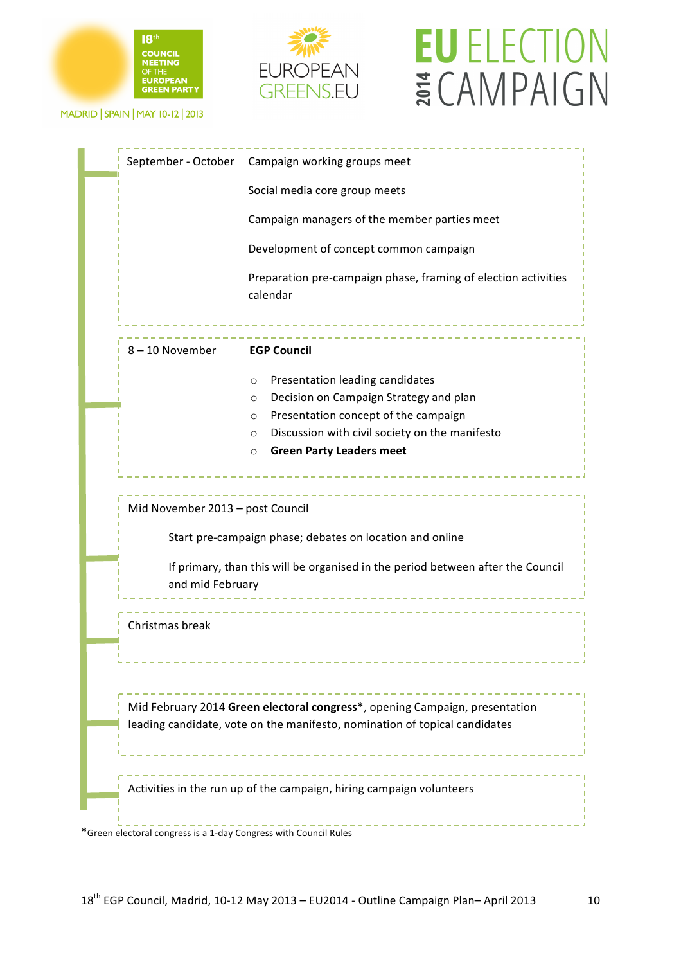



# **EU ELECTION ECAMPAIGN**

MADRID | SPAIN | MAY 10-12 | 2013

|                                  | September - October Campaign working groups meet                                                                                                          |
|----------------------------------|-----------------------------------------------------------------------------------------------------------------------------------------------------------|
|                                  | Social media core group meets                                                                                                                             |
|                                  | Campaign managers of the member parties meet                                                                                                              |
|                                  | Development of concept common campaign                                                                                                                    |
|                                  | Preparation pre-campaign phase, framing of election activities<br>calendar                                                                                |
| 8-10 November                    | <b>EGP Council</b>                                                                                                                                        |
|                                  | Presentation leading candidates<br>$\circ$                                                                                                                |
|                                  | Decision on Campaign Strategy and plan<br>$\circ$                                                                                                         |
|                                  | Presentation concept of the campaign<br>$\circ$                                                                                                           |
|                                  | Discussion with civil society on the manifesto<br>$\circ$<br><b>Green Party Leaders meet</b>                                                              |
| Mid November 2013 - post Council |                                                                                                                                                           |
|                                  | Start pre-campaign phase; debates on location and online                                                                                                  |
| and mid February                 | If primary, than this will be organised in the period between after the Council                                                                           |
| Christmas break                  |                                                                                                                                                           |
|                                  | Mid February 2014 Green electoral congress*, opening Campaign, presentation<br>leading candidate, vote on the manifesto, nomination of topical candidates |
|                                  |                                                                                                                                                           |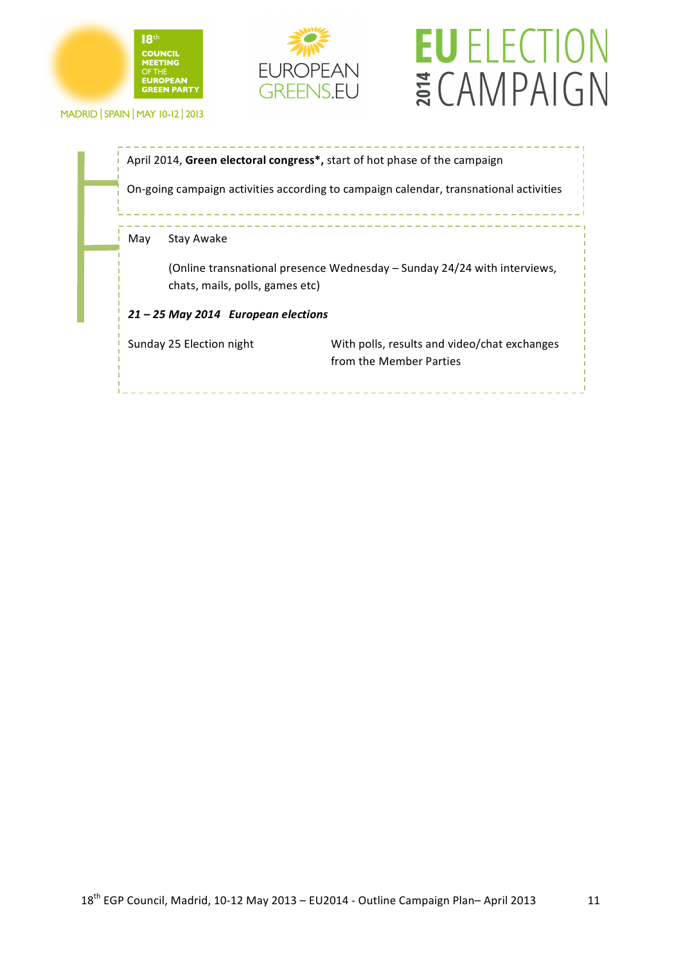





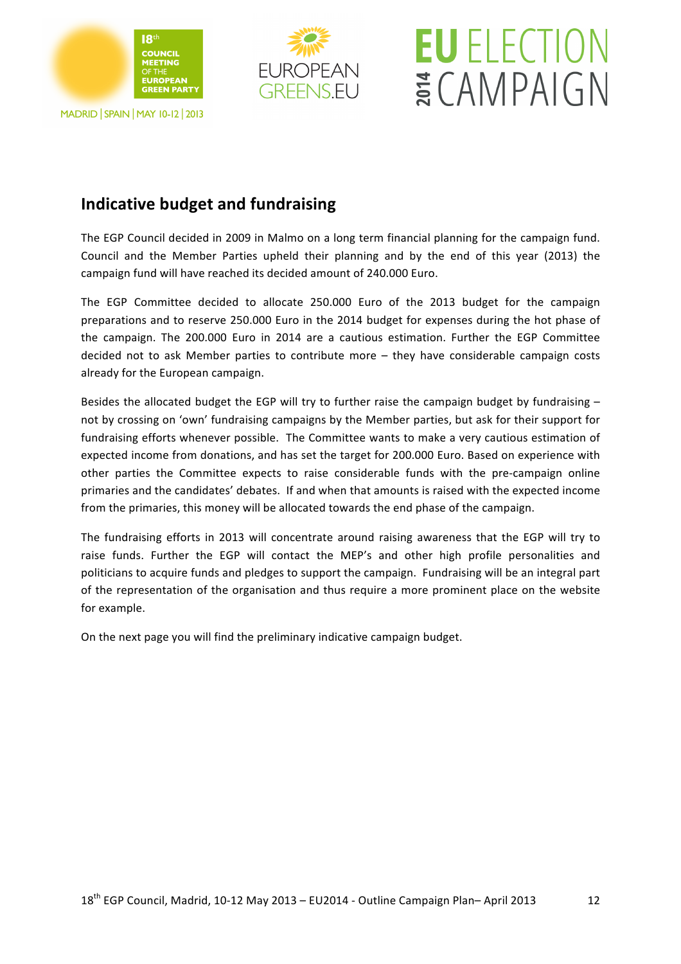



## **EU** ELECTION ECAMPAIGN

### **Indicative budget and fundraising**

The EGP Council decided in 2009 in Malmo on a long term financial planning for the campaign fund. Council and the Member Parties upheld their planning and by the end of this year (2013) the campaign fund will have reached its decided amount of 240.000 Euro.

The EGP Committee decided to allocate 250.000 Euro of the 2013 budget for the campaign preparations and to reserve 250.000 Euro in the 2014 budget for expenses during the hot phase of the campaign. The 200.000 Euro in 2014 are a cautious estimation. Further the EGP Committee decided not to ask Member parties to contribute more – they have considerable campaign costs already for the European campaign.

Besides the allocated budget the EGP will try to further raise the campaign budget by fundraising  $$ not by crossing on 'own' fundraising campaigns by the Member parties, but ask for their support for fundraising efforts whenever possible. The Committee wants to make a very cautious estimation of expected income from donations, and has set the target for 200.000 Euro. Based on experience with other parties the Committee expects to raise considerable funds with the pre-campaign online primaries and the candidates' debates. If and when that amounts is raised with the expected income from the primaries, this money will be allocated towards the end phase of the campaign.

The fundraising efforts in 2013 will concentrate around raising awareness that the EGP will try to raise funds. Further the EGP will contact the MEP's and other high profile personalities and politicians to acquire funds and pledges to support the campaign. Fundraising will be an integral part of the representation of the organisation and thus require a more prominent place on the website for example.

On the next page you will find the preliminary indicative campaign budget.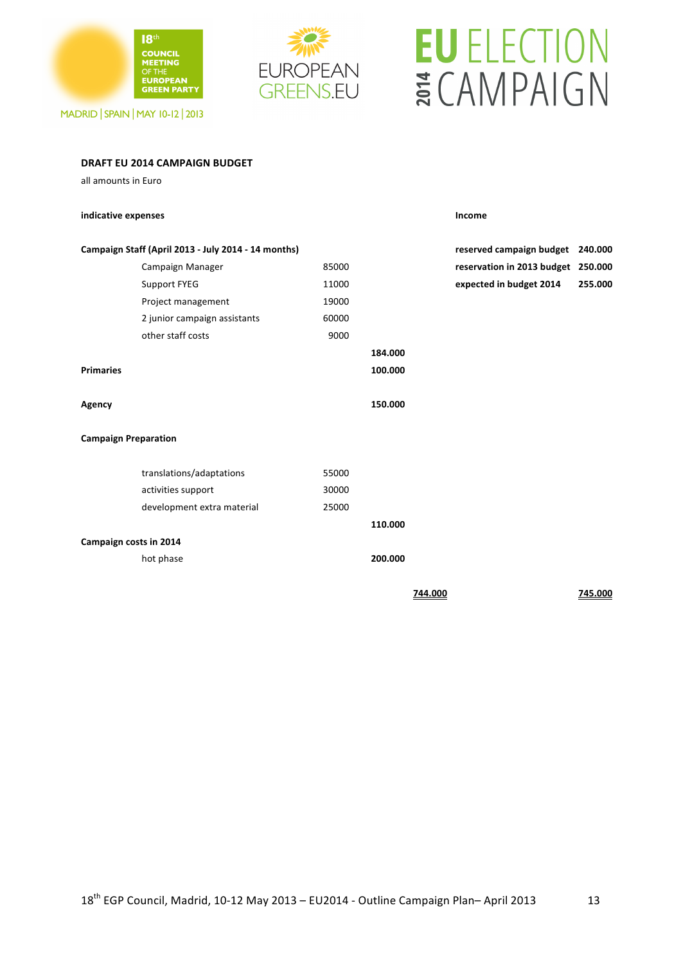

**DRAFT\$EU\$2014 CAMPAIGN BUDGET**

### **EUROPEAN GREENS.EU**

# **EU ELECTION** ECAMPAIGN

| all amounts in Euro         |                                                     |       |         |         |                                    |         |
|-----------------------------|-----------------------------------------------------|-------|---------|---------|------------------------------------|---------|
| indicative expenses         |                                                     |       |         |         | Income                             |         |
|                             | Campaign Staff (April 2013 - July 2014 - 14 months) |       |         |         | reserved campaign budget           | 240.000 |
|                             | Campaign Manager                                    | 85000 |         |         | reservation in 2013 budget 250.000 |         |
|                             | Support FYEG                                        | 11000 |         |         | expected in budget 2014            | 255.000 |
|                             | Project management                                  | 19000 |         |         |                                    |         |
|                             | 2 junior campaign assistants                        | 60000 |         |         |                                    |         |
|                             | other staff costs                                   | 9000  |         |         |                                    |         |
|                             |                                                     |       | 184.000 |         |                                    |         |
| <b>Primaries</b>            |                                                     |       | 100.000 |         |                                    |         |
|                             |                                                     |       |         |         |                                    |         |
| Agency                      |                                                     |       | 150.000 |         |                                    |         |
| <b>Campaign Preparation</b> |                                                     |       |         |         |                                    |         |
|                             | translations/adaptations                            | 55000 |         |         |                                    |         |
|                             | activities support                                  | 30000 |         |         |                                    |         |
|                             | development extra material                          | 25000 |         |         |                                    |         |
|                             |                                                     |       | 110.000 |         |                                    |         |
| Campaign costs in 2014      |                                                     |       |         |         |                                    |         |
|                             | hot phase                                           |       | 200.000 |         |                                    |         |
|                             |                                                     |       |         | 744.000 |                                    | 745.000 |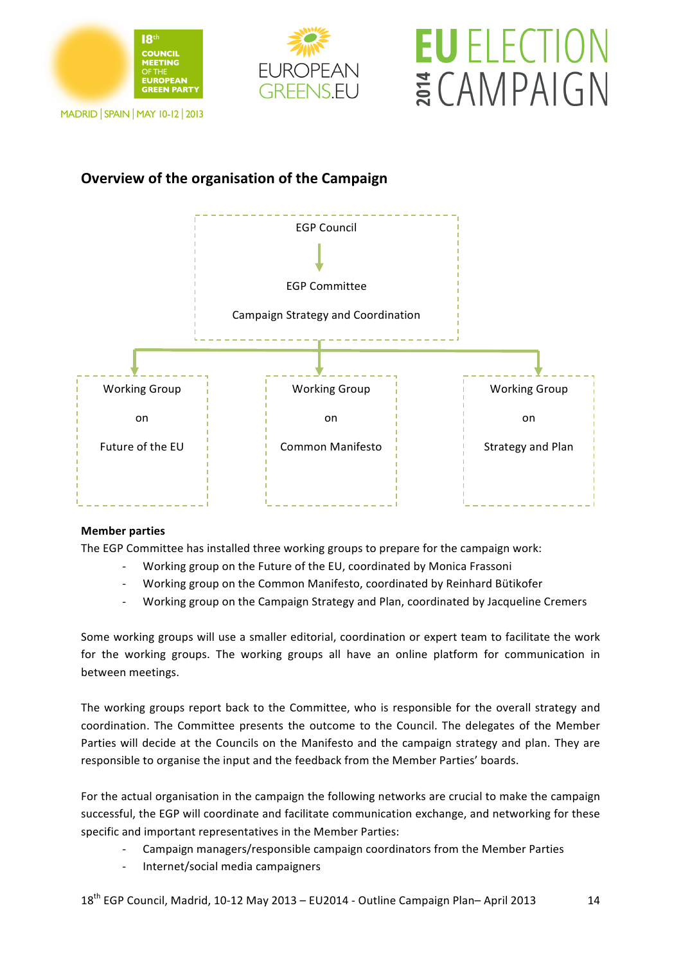







### **Overview of the organisation of the Campaign**



#### **Member parties**

The EGP Committee has installed three working groups to prepare for the campaign work:

- Working group on the Future of the EU, coordinated by Monica Frassoni
- Working group on the Common Manifesto, coordinated by Reinhard Bütikofer
- Working group on the Campaign Strategy and Plan, coordinated by Jacqueline Cremers

Some working groups will use a smaller editorial, coordination or expert team to facilitate the work for the working groups. The working groups all have an online platform for communication in between meetings.

The working groups report back to the Committee, who is responsible for the overall strategy and coordination. The Committee presents the outcome to the Council. The delegates of the Member Parties will decide at the Councils on the Manifesto and the campaign strategy and plan. They are responsible to organise the input and the feedback from the Member Parties' boards.

For the actual organisation in the campaign the following networks are crucial to make the campaign successful, the EGP will coordinate and facilitate communication exchange, and networking for these specific and important representatives in the Member Parties:

- Campaign managers/responsible campaign coordinators from the Member Parties
- Internet/social media campaigners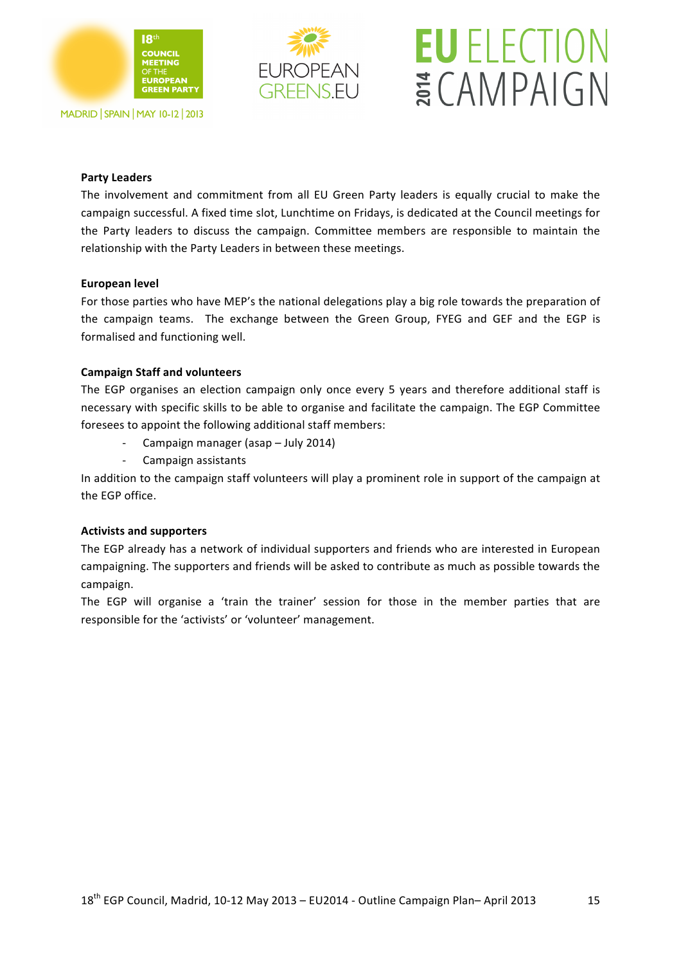

### **EUROPEAN GREENSELL**

# **EU** ELECTION ECAMPAIGN

#### **Party Leaders**

The involvement and commitment from all EU Green Party leaders is equally crucial to make the campaign successful. A fixed time slot, Lunchtime on Fridays, is dedicated at the Council meetings for the Party leaders to discuss the campaign. Committee members are responsible to maintain the relationship with the Party Leaders in between these meetings.

#### **European level**

For those parties who have MEP's the national delegations play a big role towards the preparation of the campaign teams. The exchange between the Green Group, FYEG and GEF and the EGP is formalised and functioning well.

#### **Campaign Staff and volunteers**

The EGP organises an election campaign only once every 5 years and therefore additional staff is necessary with specific skills to be able to organise and facilitate the campaign. The EGP Committee foresees to appoint the following additional staff members:

- Campaign manager (asap July 2014)
	- Campaign assistants

In addition to the campaign staff volunteers will play a prominent role in support of the campaign at the EGP office.

#### **Activists and supporters**

The EGP already has a network of individual supporters and friends who are interested in European campaigning. The supporters and friends will be asked to contribute as much as possible towards the campaign.

The EGP will organise a 'train the trainer' session for those in the member parties that are responsible for the 'activists' or 'volunteer' management.